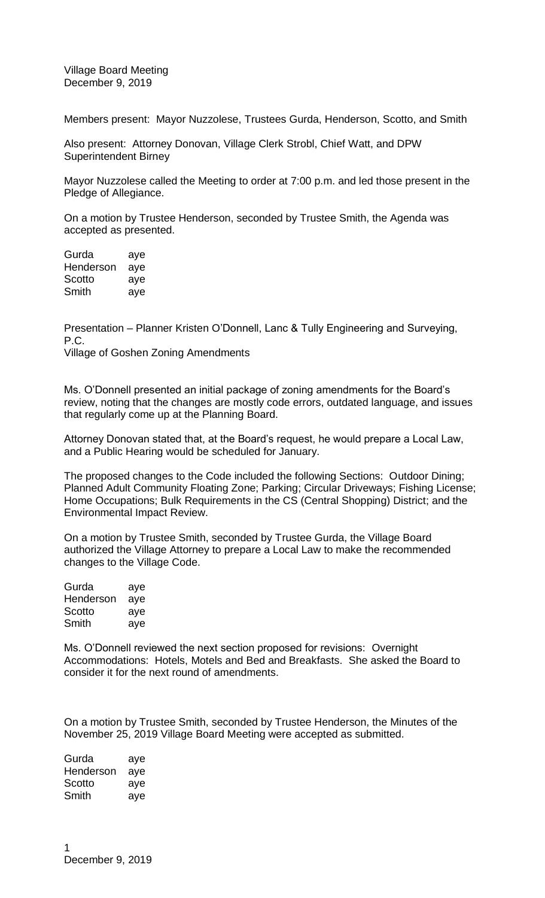Village Board Meeting December 9, 2019

Members present: Mayor Nuzzolese, Trustees Gurda, Henderson, Scotto, and Smith

Also present: Attorney Donovan, Village Clerk Strobl, Chief Watt, and DPW Superintendent Birney

Mayor Nuzzolese called the Meeting to order at 7:00 p.m. and led those present in the Pledge of Allegiance.

On a motion by Trustee Henderson, seconded by Trustee Smith, the Agenda was accepted as presented.

Gurda aye Henderson aye Scotto aye Smith aye

Presentation – Planner Kristen O'Donnell, Lanc & Tully Engineering and Surveying, P.C.

Village of Goshen Zoning Amendments

Ms. O'Donnell presented an initial package of zoning amendments for the Board's review, noting that the changes are mostly code errors, outdated language, and issues that regularly come up at the Planning Board.

Attorney Donovan stated that, at the Board's request, he would prepare a Local Law, and a Public Hearing would be scheduled for January.

The proposed changes to the Code included the following Sections: Outdoor Dining; Planned Adult Community Floating Zone; Parking; Circular Driveways; Fishing License; Home Occupations; Bulk Requirements in the CS (Central Shopping) District; and the Environmental Impact Review.

On a motion by Trustee Smith, seconded by Trustee Gurda, the Village Board authorized the Village Attorney to prepare a Local Law to make the recommended changes to the Village Code.

| Gurda     | aye |
|-----------|-----|
| Henderson | aye |
| Scotto    | aye |
| Smith     | aye |

Ms. O'Donnell reviewed the next section proposed for revisions: Overnight Accommodations: Hotels, Motels and Bed and Breakfasts. She asked the Board to consider it for the next round of amendments.

On a motion by Trustee Smith, seconded by Trustee Henderson, the Minutes of the November 25, 2019 Village Board Meeting were accepted as submitted.

Gurda aye Henderson aye Scotto aye Smith aye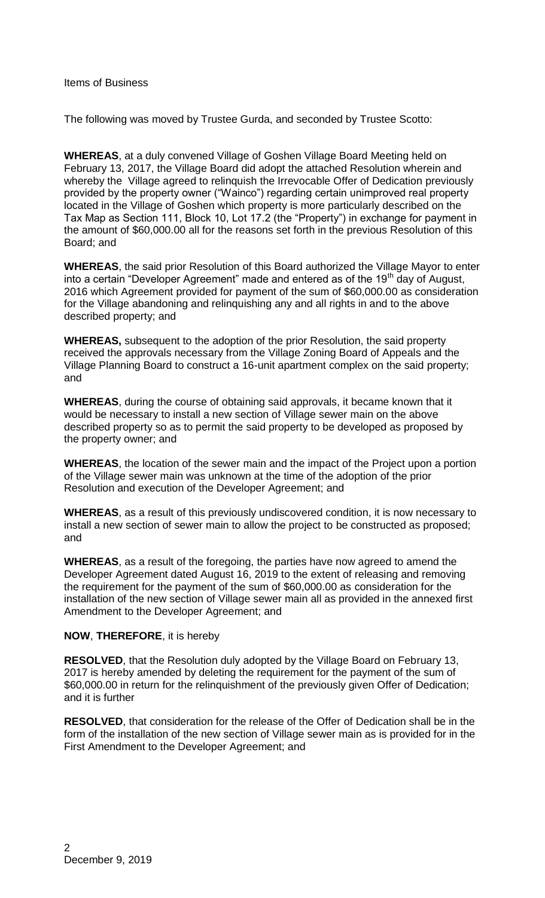Items of Business

The following was moved by Trustee Gurda, and seconded by Trustee Scotto:

**WHEREAS**, at a duly convened Village of Goshen Village Board Meeting held on February 13, 2017, the Village Board did adopt the attached Resolution wherein and whereby the Village agreed to relinquish the Irrevocable Offer of Dedication previously provided by the property owner ("Wainco") regarding certain unimproved real property located in the Village of Goshen which property is more particularly described on the Tax Map as Section 111, Block 10, Lot 17.2 (the "Property") in exchange for payment in the amount of \$60,000.00 all for the reasons set forth in the previous Resolution of this Board; and

**WHEREAS**, the said prior Resolution of this Board authorized the Village Mayor to enter into a certain "Developer Agreement" made and entered as of the  $19<sup>th</sup>$  day of August, 2016 which Agreement provided for payment of the sum of \$60,000.00 as consideration for the Village abandoning and relinquishing any and all rights in and to the above described property; and

**WHEREAS,** subsequent to the adoption of the prior Resolution, the said property received the approvals necessary from the Village Zoning Board of Appeals and the Village Planning Board to construct a 16-unit apartment complex on the said property; and

**WHEREAS**, during the course of obtaining said approvals, it became known that it would be necessary to install a new section of Village sewer main on the above described property so as to permit the said property to be developed as proposed by the property owner; and

**WHEREAS**, the location of the sewer main and the impact of the Project upon a portion of the Village sewer main was unknown at the time of the adoption of the prior Resolution and execution of the Developer Agreement; and

**WHEREAS**, as a result of this previously undiscovered condition, it is now necessary to install a new section of sewer main to allow the project to be constructed as proposed; and

**WHEREAS**, as a result of the foregoing, the parties have now agreed to amend the Developer Agreement dated August 16, 2019 to the extent of releasing and removing the requirement for the payment of the sum of \$60,000.00 as consideration for the installation of the new section of Village sewer main all as provided in the annexed first Amendment to the Developer Agreement; and

## **NOW**, **THEREFORE**, it is hereby

**RESOLVED**, that the Resolution duly adopted by the Village Board on February 13, 2017 is hereby amended by deleting the requirement for the payment of the sum of \$60,000.00 in return for the relinquishment of the previously given Offer of Dedication; and it is further

**RESOLVED**, that consideration for the release of the Offer of Dedication shall be in the form of the installation of the new section of Village sewer main as is provided for in the First Amendment to the Developer Agreement; and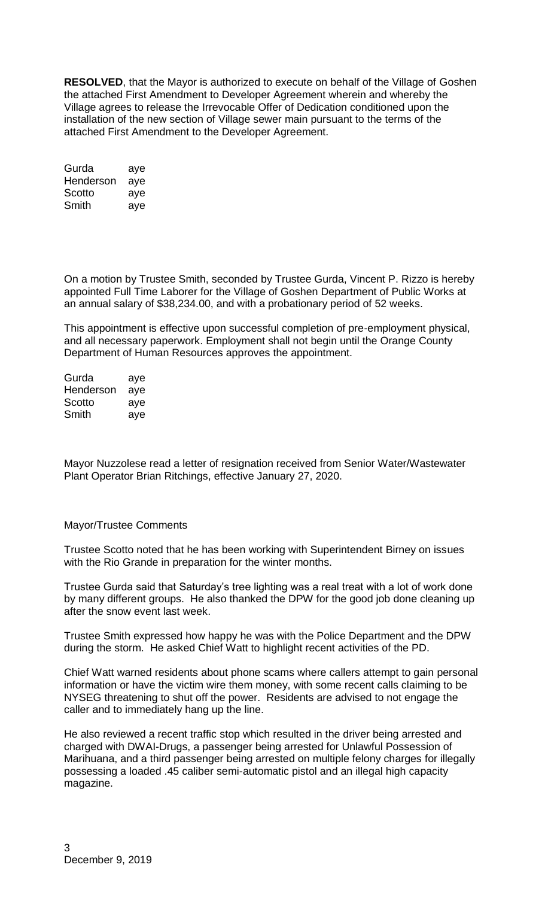**RESOLVED**, that the Mayor is authorized to execute on behalf of the Village of Goshen the attached First Amendment to Developer Agreement wherein and whereby the Village agrees to release the Irrevocable Offer of Dedication conditioned upon the installation of the new section of Village sewer main pursuant to the terms of the attached First Amendment to the Developer Agreement.

| Gurda     | aye |
|-----------|-----|
| Henderson | aye |
| Scotto    | aye |
| Smith     | aye |

On a motion by Trustee Smith, seconded by Trustee Gurda, Vincent P. Rizzo is hereby appointed Full Time Laborer for the Village of Goshen Department of Public Works at an annual salary of \$38,234.00, and with a probationary period of 52 weeks.

This appointment is effective upon successful completion of pre-employment physical, and all necessary paperwork. Employment shall not begin until the Orange County Department of Human Resources approves the appointment.

Gurda aye Henderson aye Scotto aye Smith aye

Mayor Nuzzolese read a letter of resignation received from Senior Water/Wastewater Plant Operator Brian Ritchings, effective January 27, 2020.

## Mayor/Trustee Comments

Trustee Scotto noted that he has been working with Superintendent Birney on issues with the Rio Grande in preparation for the winter months.

Trustee Gurda said that Saturday's tree lighting was a real treat with a lot of work done by many different groups. He also thanked the DPW for the good job done cleaning up after the snow event last week.

Trustee Smith expressed how happy he was with the Police Department and the DPW during the storm. He asked Chief Watt to highlight recent activities of the PD.

Chief Watt warned residents about phone scams where callers attempt to gain personal information or have the victim wire them money, with some recent calls claiming to be NYSEG threatening to shut off the power. Residents are advised to not engage the caller and to immediately hang up the line.

He also reviewed a recent traffic stop which resulted in the driver being arrested and charged with DWAI-Drugs, a passenger being arrested for Unlawful Possession of Marihuana, and a third passenger being arrested on multiple felony charges for illegally possessing a loaded .45 caliber semi-automatic pistol and an illegal high capacity magazine.